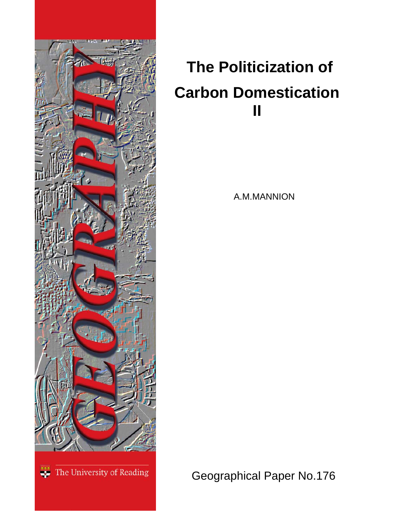

# **The Politicization of Carbon Domestication II**

A.M.MANNION

<sup>\*\*\*</sup> The University of Reading

Geographical Paper No.176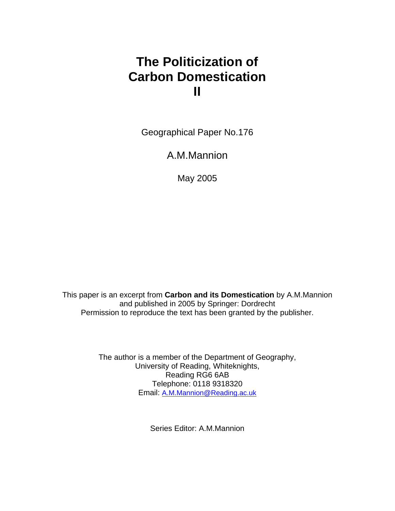# **The Politicization of Carbon Domestication II**

Geographical Paper No.176

# A.M.Mannion

May 2005

This paper is an excerpt from **Carbon and its Domestication** by A.M.Mannion and published in 2005 by Springer: Dordrecht Permission to reproduce the text has been granted by the publisher.

> The author is a member of the Department of Geography, University of Reading, Whiteknights, Reading RG6 6AB Telephone: 0118 9318320 Email: [A.M.Mannion@Reading.ac.uk](mailto:A.M.Mannion@Reading.ac.uk)

> > Series Editor: A.M.Mannion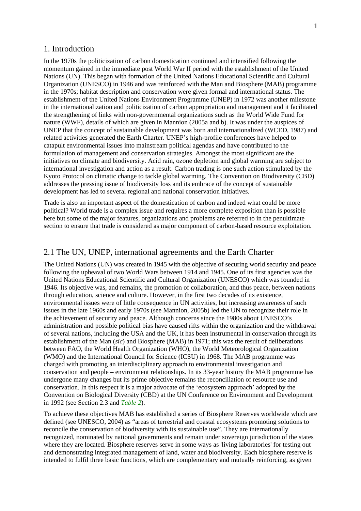#### 1. Introduction

In the 1970s the politicization of carbon domestication continued and intensified following the momentum gained in the immediate post World War II period with the establishment of the United Nations (UN). This began with formation of the United Nations Educational Scientific and Cultural Organization (UNESCO) in 1946 and was reinforced with the Man and Biosphere (MAB) programme in the 1970s; habitat description and conservation were given formal and international status. The establishment of the United Nations Environment Programme (UNEP) in 1972 was another milestone in the internationalization and politicization of carbon appropriation and management and it facilitated the strengthening of links with non-governmental organizations such as the World Wide Fund for nature (WWF), details of which are given in Mannion (2005a and b). It was under the auspices of UNEP that the concept of sustainable development was born and internationalized (WCED, 1987) and related activities generated the Earth Charter. UNEP's high-profile conferences have helped to catapult environmental issues into mainstream political agendas and have contributed to the formulation of management and conservation strategies. Amongst the most significant are the initiatives on climate and biodiversity. Acid rain, ozone depletion and global warming are subject to international investigation and action as a result. Carbon trading is one such action stimulated by the Kyoto Protocol on climatic change to tackle global warming. The Convention on Biodiversity (CBD) addresses the pressing issue of biodiversity loss and its embrace of the concept of sustainable development has led to several regional and national conservation initiatives.

Trade is also an important aspect of the domestication of carbon and indeed what could be more political? World trade is a complex issue and requires a more complete exposition than is possible here but some of the major features, organizations and problems are referred to in the penultimate section to ensure that trade is considered as major component of carbon-based resource exploitation.

# 2.1 The UN, UNEP, international agreements and the Earth Charter

The United Nations (UN) was created in 1945 with the objective of securing world security and peace following the upheaval of two World Wars between 1914 and 1945. One of its first agencies was the United Nations Educational Scientific and Cultural Organization (UNESCO) which was founded in 1946. Its objective was, and remains, the promotion of collaboration, and thus peace, between nations through education, science and culture. However, in the first two decades of its existence, environmental issues were of little consequence in UN activities, but increasing awareness of such issues in the late 1960s and early 1970s (see Mannion, 2005b) led the UN to recognize their role in the achievement of security and peace. Although concerns since the 1980s about UNESCO's administration and possible political bias have caused rifts within the organization and the withdrawal of several nations, including the USA and the UK, it has been instrumental in conservation through its establishment of the Man (*sic*) and Biosphere (MAB) in 1971; this was the result of deliberations between FAO, the World Health Organization (WHO), the World Meteorological Organization (WMO) and the International Council for Science (ICSU) in 1968. The MAB programme was charged with promoting an interdisciplinary approach to environmental investigation and conservation and people – environment relationships. In its 33-year history the MAB programme has undergone many changes but its prime objective remains the reconciliation of resource use and conservation. In this respect it is a major advocate of the 'ecosystem approach' adopted by the Convention on Biological Diversity (CBD) at the UN Conference on Environment and Development in 1992 (see Section 2.3 and *Table 2*).

To achieve these objectives MAB has established a series of Biosphere Reserves worldwide which are defined (see UNESCO, 2004) as "areas of terrestrial and coastal ecosystems promoting solutions to reconcile the conservation of biodiversity with its sustainable use". They are internationally recognized, nominated by national governments and remain under sovereign jurisdiction of the states where they are located. Biosphere reserves serve in some ways as 'living laboratories' for testing out and demonstrating integrated management of land, water and biodiversity. Each biosphere reserve is intended to fulfil three basic functions, which are complementary and mutually reinforcing, as given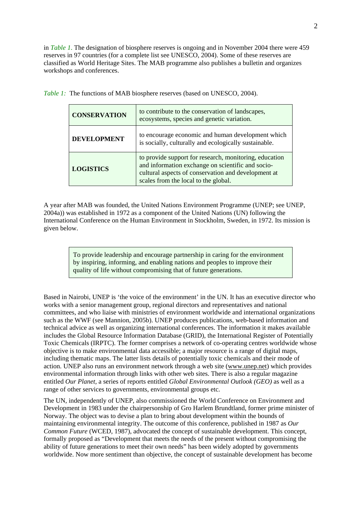in *Table 1*. The designation of biosphere reserves is ongoing and in November 2004 there were 459 reserves in 97 countries (for a complete list see UNESCO, 2004). Some of these reserves are classified as World Heritage Sites. The MAB programme also publishes a bulletin and organizes workshops and conferences.

| <b>CONSERVATION</b> | to contribute to the conservation of landscapes,<br>ecosystems, species and genetic variation.                                                                                                             |
|---------------------|------------------------------------------------------------------------------------------------------------------------------------------------------------------------------------------------------------|
| <b>DEVELOPMENT</b>  | to encourage economic and human development which<br>is socially, culturally and ecologically sustainable.                                                                                                 |
| <b>LOGISTICS</b>    | to provide support for research, monitoring, education<br>and information exchange on scientific and socio-<br>cultural aspects of conservation and development at<br>scales from the local to the global. |

*Table 1:* The functions of MAB biosphere reserves (based on UNESCO, 2004).

A year after MAB was founded, the United Nations Environment Programme (UNEP; see UNEP, 2004a)) was established in 1972 as a component of the United Nations (UN) following the International Conference on the Human Environment in Stockholm, Sweden, in 1972. Its mission is given below.

> To provide leadership and encourage partnership in caring for the environment by inspiring, informing, and enabling nations and peoples to improve their quality of life without compromising that of future generations.

Based in Nairobi, UNEP is 'the voice of the environment' in the UN. It has an executive director who works with a senior management group, regional directors and representatives and national committees, and who liaise with ministries of environment worldwide and international organizations such as the WWF (see Mannion, 2005b). UNEP produces publications, web-based information and technical advice as well as organizing international conferences. The information it makes available includes the Global Resource Information Database (GRID), the International Register of Potentially Toxic Chemicals (IRPTC). The former comprises a network of co-operating centres worldwide whose objective is to make environmental data accessible; a major resource is a range of digital maps, including thematic maps. The latter lists details of potentially toxic chemicals and their mode of action. UNEP also runs an environment network through a web site ([www.unep](http://www.unep/).net) which provides environmental information through links with other web sites. There is also a regular magazine entitled *Our Planet,* a series of reports entitled *Global Environmental Outlook (GEO)* as well as a range of other services to governments, environmental groups etc.

The UN, independently of UNEP, also commissioned the World Conference on Environment and Development in 1983 under the chairpersonship of Gro Harlem Brundtland, former prime minister of Norway. The object was to devise a plan to bring about development within the bounds of maintaining environmental integrity. The outcome of this conference, published in 1987 as *Our Common Future* (WCED, 1987), advocated the concept of sustainable development. This concept, formally proposed as "Development that meets the needs of the present without compromising the ability of future generations to meet their own needs" has been widely adopted by governments worldwide. Now more sentiment than objective, the concept of sustainable development has become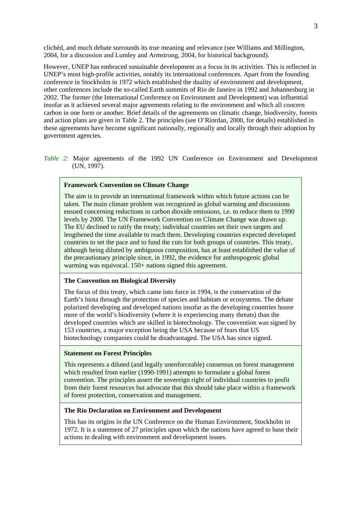clichéd, and much debate surrounds its true meaning and relevance (see Williams and Millington, 2004, for a discussion and Lumley and Armstrong, 2004, for historical background).

However, UNEP has embraced sustainable development as a focus in its activities. This is reflected in UNEP's most high-profile activities, notably its international conferences. Apart from the founding conference in Stockholm in 1972 which established the duality of environment and development, other conferences include the so-called Earth summits of Rio de Janeiro in 1992 and Johannesburg in 2002. The former (the International Conference on Environment and Development) was influential insofar as it achieved several major agreements relating to the environment and which all concern carbon in one form or another. Brief details of the agreements on climatic change, biodiversity, forests and action plans are given in Table 2. The principles (see O'Riordan, 2000, for details) established in these agreements have become significant nationally, regionally and locally through their adoption by government agencies.

*Table 2:* Major agreements of the 1992 UN Conference on Environment and Development (UN, 1997).

#### **Framework Convention on Climate Change**

The aim is to provide an international framework within which future actions can be taken. The main climate problem was recognized as global warming and discussions ensued concerning reductions in carbon dioxide emissions, i.e. to reduce them to 1990 levels by 2000. The UN Framework Convention on Climate Change was drawn up. The EU declined to ratify the treaty; individual countries set their own targets and lengthened the time available to reach them. Developing countries expected developed countries to set the pace and to fund the cuts for both groups of countries. This treaty, although being diluted by ambiguous composition, has at least established the value of the precautionary principle since, in 1992, the evidence for anthropogenic global warming was equivocal. 150+ nations signed this agreement.

#### **The Convention on Biological Diversity**

The focus of this treaty, which came into force in 1994, is the conservation of the Earth's biota through the protection of species and habitats or ecosystems. The debate polarized developing and developed nations insofar as the developing countries house more of the world's biodiversity (where it is experiencing many threats) than the developed countries which are skilled in biotechnology. The convention was signed by 153 countries, a major exception being the USA because of fears that US biotechnology companies could be disadvantaged. The USA has since signed.

#### **Statement on Forest Principles**

This represents a diluted (and legally unenforceable) consensus on forest management which resulted from earlier (1990-1991) attempts to formulate a global forest convention. The principles assert the sovereign right of individual countries to profit from their forest resources but advocate that this should take place within a framework of forest protection, conservation and management.

#### **The Rio Declaration on Environment and Development**

This has its origins in the UN Conference on the Human Environment, Stockholm in 1972. It is a statement of 27 principles upon which the nations have agreed to base their actions in dealing with environment and development issues.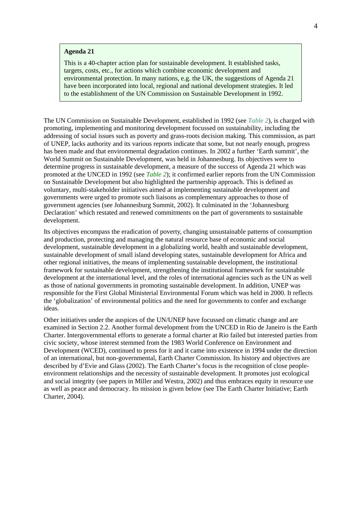#### **Agenda 21**

This is a 40-chapter action plan for sustainable development. It established tasks, targets, costs, etc., for actions which combine economic development and environmental protection. In many nations, e.g. the UK, the suggestions of Agenda 21 have been incorporated into local, regional and national development strategies. It led to the establishment of the UN Commission on Sustainable Development in 1992.

The UN Commission on Sustainable Development, established in 1992 (see *Table 2*), is charged with promoting, implementing and monitoring development focussed on sustainability, including the addressing of social issues such as poverty and grass-roots decision making. This commission, as part of UNEP, lacks authority and its various reports indicate that some, but not nearly enough, progress has been made and that environmental degradation continues. In 2002 a further 'Earth summit', the World Summit on Sustainable Development, was held in Johannesburg. Its objectives were to determine progress in sustainable development, a measure of the success of Agenda 21 which was promoted at the UNCED in 1992 (see *Table 2*); it confirmed earlier reports from the UN Commission on Sustainable Development but also highlighted the partnership approach. This is defined as voluntary, multi-stakeholder initiatives aimed at implementing sustainable development and governments were urged to promote such liaisons as complementary approaches to those of government agencies (see Johannesburg Summit, 2002). It culminated in the 'Johannesburg Declaration' which restated and renewed commitments on the part of governments to sustainable development.

Its objectives encompass the eradication of poverty, changing unsustainable patterns of consumption and production, protecting and managing the natural resource base of economic and social development, sustainable development in a globalizing world, health and sustainable development, sustainable development of small island developing states, sustainable development for Africa and other regional initiatives, the means of implementing sustainable development, the institutional framework for sustainable development, strengthening the institutional framework for sustainable development at the international level, and the roles of international agencies such as the UN as well as those of national governments in promoting sustainable development. In addition, UNEP was responsible for the First Global Ministerial Environmental Forum which was held in 2000. It reflects the 'globalization' of environmental politics and the need for governments to confer and exchange ideas.

Other initiatives under the auspices of the UN/UNEP have focussed on climatic change and are examined in Section 2.2. Another formal development from the UNCED in Rio de Janeiro is the Earth Charter. Intergovernmental efforts to generate a formal charter at Rio failed but interested parties from civic society, whose interest stemmed from the 1983 World Conference on Environment and Development (WCED), continued to press for it and it came into existence in 1994 under the direction of an international, but non-governmental, Earth Charter Commission. Its history and objectives are described by d'Evie and Glass (2002). The Earth Charter's focus is the recognition of close peopleenvironment relationships and the necessity of sustainable development. It promotes just ecological and social integrity (see papers in Miller and Westra, 2002) and thus embraces equity in resource use as well as peace and democracy. Its mission is given below (see The Earth Charter Initiative; Earth Charter, 2004).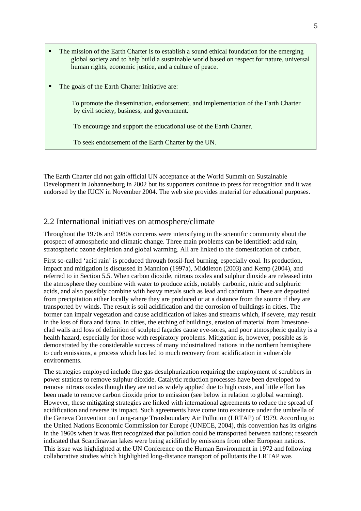- The mission of the Earth Charter is to establish a sound ethical foundation for the emerging global society and to help build a sustainable world based on respect for nature, universal human rights, economic justice, and a culture of peace.
- The goals of the Earth Charter Initiative are:

 To promote the dissemination, endorsement, and implementation of the Earth Charter by civil society, business, and government.

To encourage and support the educational use of the Earth Charter.

To seek endorsement of the Earth Charter by the UN.

The Earth Charter did not gain official UN acceptance at the World Summit on Sustainable Development in Johannesburg in 2002 but its supporters continue to press for recognition and it was endorsed by the IUCN in November 2004. The web site provides material for educational purposes.

### 2.2 International initiatives on atmosphere/climate

Throughout the 1970s and 1980s concerns were intensifying in the scientific community about the prospect of atmospheric and climatic change. Three main problems can be identified: acid rain, stratospheric ozone depletion and global warming. All are linked to the domestication of carbon.

First so-called 'acid rain' is produced through fossil-fuel burning, especially coal. Its production, impact and mitigation is discussed in Mannion (1997a), Middleton (2003) and Kemp (2004), and referred to in Section 5.5. When carbon dioxide, nitrous oxides and sulphur dioxide are released into the atmosphere they combine with water to produce acids, notably carbonic, nitric and sulphuric acids, and also possibly combine with heavy metals such as lead and cadmium. These are deposited from precipitation either locally where they are produced or at a distance from the source if they are transported by winds. The result is soil acidification and the corrosion of buildings in cities. The former can impair vegetation and cause acidification of lakes and streams which, if severe, may result in the loss of flora and fauna. In cities, the etching of buildings, erosion of material from limestoneclad walls and loss of definition of sculpted façades cause eye-sores, and poor atmospheric quality is a health hazard, especially for those with respiratory problems. Mitigation is, however, possible as is demonstrated by the considerable success of many industrialized nations in the northern hemisphere to curb emissions, a process which has led to much recovery from acidification in vulnerable environments.

The strategies employed include flue gas desulphurization requiring the employment of scrubbers in power stations to remove sulphur dioxide. Catalytic reduction processes have been developed to remove nitrous oxides though they are not as widely applied due to high costs, and little effort has been made to remove carbon dioxide prior to emission (see below in relation to global warming). However, these mitigating strategies are linked with international agreements to reduce the spread of acidification and reverse its impact. Such agreements have come into existence under the umbrella of the Geneva Convention on Long-range Transboundary Air Pollution (LRTAP) of 1979. According to the United Nations Economic Commission for Europe (UNECE, 2004), this convention has its origins in the 1960s when it was first recognized that pollution could be transported between nations; research indicated that Scandinavian lakes were being acidified by emissions from other European nations. This issue was highlighted at the UN Conference on the Human Environment in 1972 and following collaborative studies which highlighted long-distance transport of pollutants the LRTAP was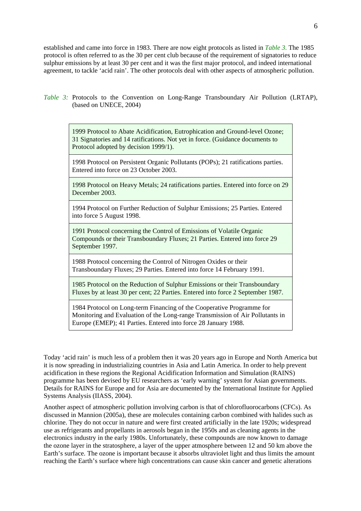established and came into force in 1983. There are now eight protocols as listed in *Table 3*. The 1985 protocol is often referred to as the 30 per cent club because of the requirement of signatories to reduce sulphur emissions by at least 30 per cent and it was the first major protocol, and indeed international agreement, to tackle 'acid rain'. The other protocols deal with other aspects of atmospheric pollution.

*Table 3:* Protocols to the Convention on Long-Range Transboundary Air Pollution (LRTAP), (based on UNECE, 2004)

> 1999 Protocol to Abate Acidification, Eutrophication and Ground-level Ozone; 31 Signatories and 14 ratifications. Not yet in force. (Guidance documents to Protocol adopted by decision 1999/1).

> 1998 Protocol on Persistent Organic Pollutants (POPs); 21 ratifications parties. Entered into force on 23 October 2003.

1998 Protocol on Heavy Metals; 24 ratifications parties. Entered into force on 29 December 2003.

1994 Protocol on Further Reduction of Sulphur Emissions; 25 Parties. Entered into force 5 August 1998.

1991 Protocol concerning the Control of Emissions of Volatile Organic Compounds or their Transboundary Fluxes; 21 Parties. Entered into force 29 September 1997.

1988 Protocol concerning the Control of Nitrogen Oxides or their Transboundary Fluxes; 29 Parties. Entered into force 14 February 1991.

1985 Protocol on the Reduction of Sulphur Emissions or their Transboundary Fluxes by at least 30 per cent; 22 Parties. Entered into force 2 September 1987.

1984 Protocol on Long-term Financing of the Cooperative Programme for Monitoring and Evaluation of the Long-range Transmission of Air Pollutants in Europe (EMEP); 41 Parties. Entered into force 28 January 1988.

Today 'acid rain' is much less of a problem then it was 20 years ago in Europe and North America but it is now spreading in industrializing countries in Asia and Latin America. In order to help prevent acidification in these regions the Regional Acidification Information and Simulation (RAINS) programme has been devised by EU researchers as 'early warning' system for Asian governments. Details for RAINS for Europe and for Asia are documented by the International Institute for Applied Systems Analysis (IIASS, 2004).

Another aspect of atmospheric pollution involving carbon is that of chlorofluorocarbons (CFCs). As discussed in Mannion (2005a), these are molecules containing carbon combined with halides such as chlorine. They do not occur in nature and were first created artificially in the late 1920s; widespread use as refrigerants and propellants in aerosols began in the 1950s and as cleaning agents in the electronics industry in the early 1980s. Unfortunately, these compounds are now known to damage the ozone layer in the stratosphere, a layer of the upper atmosphere between 12 and 50 km above the Earth's surface. The ozone is important because it absorbs ultraviolet light and thus limits the amount reaching the Earth's surface where high concentrations can cause skin cancer and genetic alterations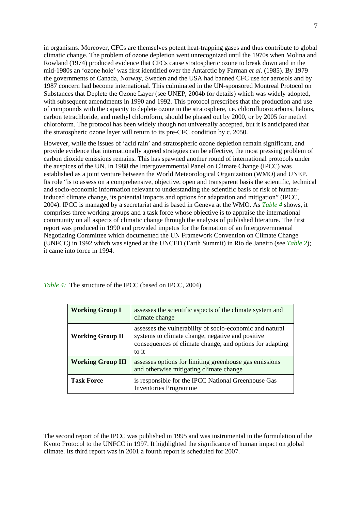in organisms. Moreover, CFCs are themselves potent heat-trapping gases and thus contribute to global climatic change. The problem of ozone depletion went unrecognized until the 1970s when Molina and Rowland (1974) produced evidence that CFCs cause stratospheric ozone to break down and in the mid-1980s an 'ozone hole' was first identified over the Antarctic by Farman *et al.* (1985). By 1979 the governments of Canada, Norway, Sweden and the USA had banned CFC use for aerosols and by 1987 concern had become international. This culminated in the UN-sponsored Montreal Protocol on Substances that Deplete the Ozone Layer (see UNEP, 2004b for details) which was widely adopted, with subsequent amendments in 1990 and 1992. This protocol prescribes that the production and use of compounds with the capacity to deplete ozone in the stratosphere, i.e. chlorofluorocarbons, halons, carbon tetrachloride, and methyl chloroform, should be phased out by 2000, or by 2005 for methyl chloroform. The protocol has been widely though not universally accepted, but it is anticipated that the stratospheric ozone layer will return to its pre-CFC condition by c. 2050.

However, while the issues of 'acid rain' and stratospheric ozone depletion remain significant, and provide evidence that internationally agreed strategies can be effective, the most pressing problem of carbon dioxide emissions remains. This has spawned another round of international protocols under the auspices of the UN. In 1988 the Intergovernmental Panel on Climate Change (IPCC) was established as a joint venture between the World Meteorological Organization (WMO) and UNEP. Its role "is to assess on a comprehensive, objective, open and transparent basis the scientific, technical and socio-economic information relevant to understanding the scientific basis of risk of humaninduced climate change, its potential impacts and options for adaptation and mitigation" (IPCC, 2004). IPCC is managed by a secretariat and is based in Geneva at the WMO. As *Table 4* shows, it comprises three working groups and a task force whose objective is to appraise the international community on all aspects of climatic change through the analysis of published literature. The first report was produced in 1990 and provided impetus for the formation of an Intergovernmental Negotiating Committee which documented the UN Framework Convention on Climate Change (UNFCC) in 1992 which was signed at the UNCED (Earth Summit) in Rio de Janeiro (see *Table 2*); it came into force in 1994.

| <b>Working Group I</b>   | assesses the scientific aspects of the climate system and<br>climate change                                                                                                       |
|--------------------------|-----------------------------------------------------------------------------------------------------------------------------------------------------------------------------------|
| <b>Working Group II</b>  | assesses the vulnerability of socio-economic and natural<br>systems to climate change, negative and positive<br>consequences of climate change, and options for adapting<br>to it |
| <b>Working Group III</b> | assesses options for limiting greenhouse gas emissions<br>and otherwise mitigating climate change                                                                                 |
| <b>Task Force</b>        | is responsible for the IPCC National Greenhouse Gas<br><b>Inventories Programme</b>                                                                                               |

*Table 4:* The structure of the IPCC (based on IPCC, 2004)

The second report of the IPCC was published in 1995 and was instrumental in the formulation of the Kyoto Protocol to the UNFCC in 1997. It highlighted the significance of human impact on global climate. Its third report was in 2001 a fourth report is scheduled for 2007.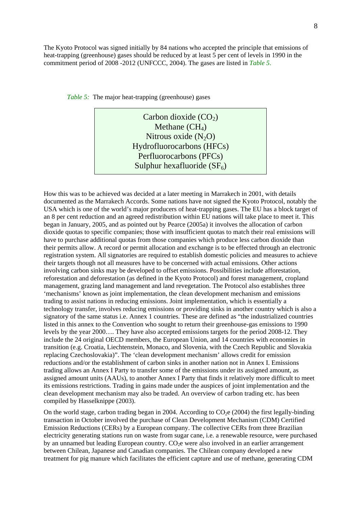The Kyoto Protocol was signed initially by 84 nations who accepted the principle that emissions of heat-trapping (greenhouse) gases should be reduced by at least 5 per cent of levels in 1990 in the commitment period of 2008 -2012 (UNFCCC, 2004). The gases are listed in *Table 5*.

*Table 5:* The major heat-trapping (greenhouse) gases

| Carbon dioxide $(CO2)$        |  |
|-------------------------------|--|
| Methane $(CH_4)$              |  |
| Nitrous oxide $(N_2O)$        |  |
| Hydrofluorocarbons (HFCs)     |  |
| Perfluorocarbons (PFCs)       |  |
| Sulphur hexafluoride $(SF_6)$ |  |

How this was to be achieved was decided at a later meeting in Marrakech in 2001, with details documented as the Marrakech Accords. Some nations have not signed the Kyoto Protocol, notably the USA which is one of the world's major producers of heat-trapping gases. The EU has a block target of an 8 per cent reduction and an agreed redistribution within EU nations will take place to meet it. This began in January, 2005, and as pointed out by Pearce (2005a) it involves the allocation of carbon dioxide quotas to specific companies; those with insufficient quotas to match their real emissions will have to purchase additional quotas from those companies which produce less carbon dioxide than their permits allow. A record or permit allocation and exchange is to be effected through an electronic registration system. All signatories are required to establish domestic policies and measures to achieve their targets though not all measures have to be concerned with actual emissions. Other actions involving carbon sinks may be developed to offset emissions. Possibilities include afforestation, reforestation and deforestation (as defined in the Kyoto Protocol) and forest management, cropland management, grazing land management and land revegetation. The Protocol also establishes three 'mechanisms' known as joint implementation, the clean development mechanism and emissions trading to assist nations in reducing emissions. Joint implementation, which is essentially a technology transfer, involves reducing emissions or providing sinks in another country which is also a signatory of the same status i.e. Annex 1 countries. These are defined as "the industrialized countries listed in this annex to the Convention who sought to return their greenhouse-gas emissions to 1990 levels by the year 2000…. They have also accepted emissions targets for the period 2008-12. They include the 24 original OECD members, the European Union, and 14 countries with economies in transition (e.g. Croatia, Liechtenstein, Monaco, and Slovenia, with the Czech Republic and Slovakia replacing Czechoslovakia)". The 'clean development mechanism' allows credit for emission reductions and/or the establishment of carbon sinks in another nation not in Annex I. Emissions trading allows an Annex I Party to transfer some of the emissions under its assigned amount, as assigned amount units (AAUs), to another Annex I Party that finds it relatively more difficult to meet its emissions restrictions. Trading in gains made under the auspices of joint implementation and the clean development mechanism may also be traded. An overview of carbon trading etc. has been compiled by Hasselknippe (2003).

On the world stage, carbon trading began in 2004. According to  $CO<sub>2</sub>e$  (2004) the first legally-binding transaction in October involved the purchase of Clean Development Mechanism (CDM) Certified Emission Reductions (CERs) by a European company. The collective CERs from three Brazilian electricity generating stations run on waste from sugar cane, i.e. a renewable resource, were purchased by an unnamed but leading European country.  $CO<sub>2</sub>e$  were also involved in an earlier arrangement between Chilean, Japanese and Canadian companies. The Chilean company developed a new treatment for pig manure which facilitates the efficient capture and use of methane, generating CDM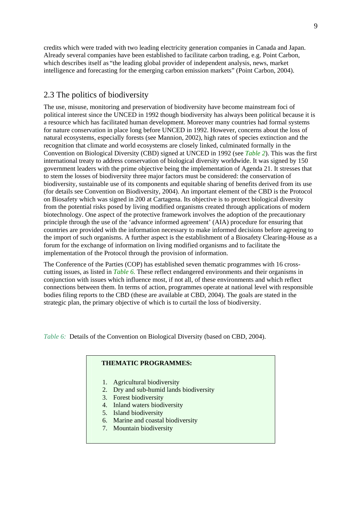credits which were traded with two leading electricity generation companies in Canada and Japan. Already several companies have been established to facilitate carbon trading, e.g. Point Carbon, which describes itself as "the leading global provider of independent analysis, news, market intelligence and forecasting for the emerging carbon emission markets" (Point Carbon, 2004).

# 2.3 The politics of biodiversity

The use, misuse, monitoring and preservation of biodiversity have become mainstream foci of political interest since the UNCED in 1992 though biodiversity has always been political because it is a resource which has facilitated human development. Moreover many countries had formal systems for nature conservation in place long before UNCED in 1992. However, concerns about the loss of natural ecosystems, especially forests (see Mannion, 2002), high rates of species extinction and the recognition that climate and world ecosystems are closely linked, culminated formally in the Convention on Biological Diversity (CBD) signed at UNCED in 1992 (see *Table 2*). This was the first international treaty to address conservation of biological diversity worldwide. It was signed by 150 government leaders with the prime objective being the implementation of Agenda 21. It stresses that to stem the losses of biodiversity three major factors must be considered: the conservation of biodiversity, sustainable use of its components and equitable sharing of benefits derived from its use (for details see Convention on Biodiversity, 2004). An important element of the CBD is the Protocol on Biosafety which was signed in 200 at Cartagena. Its objective is to protect biological diversity from the potential risks posed by living modified organisms created through applications of modern biotechnology. One aspect of the protective framework involves the adoption of the precautionary principle through the use of the 'advance informed agreement' (AIA) procedure for ensuring that countries are provided with the information necessary to make informed decisions before agreeing to the import of such organisms. A further aspect is the establishment of a Biosafety Clearing-House as a forum for the exchange of information on living modified organisms and to facilitate the implementation of the Protocol through the provision of information.

The Conference of the Parties (COP) has established seven thematic programmes with 16 crosscutting issues, as listed in *Table 6.* These reflect endangered environments and their organisms in conjunction with issues which influence most, if not all, of these environments and which reflect connections between them. In terms of action, programmes operate at national level with responsible bodies filing reports to the CBD (these are available at CBD, 2004). The goals are stated in the strategic plan, the primary objective of which is to curtail the loss of biodiversity.

*Table 6:* Details of the Convention on Biological Diversity (based on CBD, 2004).

#### **THEMATIC PROGRAMMES:**

- 1. Agricultural biodiversity
- 2. Dry and sub-humid lands biodiversity
- 3. Forest biodiversity
- 4. Inland waters biodiversity
- 5. Island biodiversity
- 6. Marine and coastal biodiversity
- 7. Mountain biodiversity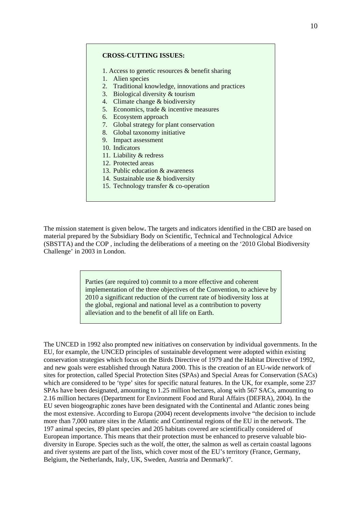#### **CROSS-CUTTING ISSUES:**

- 1. Access to genetic resources & benefit sharing
- 1. Alien species
- 2. Traditional knowledge, innovations and practices
- 3. Biological diversity & tourism
- 4. Climate change & biodiversity
- 5. Economics, trade & incentive measures
- 6. Ecosystem approach
- 7. Global strategy for plant conservation
- 8. Global taxonomy initiative
- 9. Impact assessment
- 10. Indicators
- 11. Liability & redress
- 12. Protected areas
- 13. Public education & awareness
- 14. Sustainable use & biodiversity
- 15. Technology transfer & co-operation

The mission statement is given below**.** The targets and indicators identified in the CBD are based on material prepared by the Subsidiary Body on Scientific, Technical and Technological Advice (SBSTTA) and the COP , including the deliberations of a meeting on the '2010 Global Biodiversity Challenge' in 2003 in London.

> Parties (are required to) commit to a more effective and coherent implementation of the three objectives of the Convention, to achieve by 2010 a significant reduction of the current rate of biodiversity loss at the global, regional and national level as a contribution to poverty alleviation and to the benefit of all life on Earth.

The UNCED in 1992 also prompted new initiatives on conservation by individual governments. In the EU, for example, the UNCED principles of sustainable development were adopted within existing conservation strategies which focus on the Birds Directive of 1979 and the Habitat Directive of 1992, and new goals were established through Natura 2000. This is the creation of an EU-wide network of sites for protection, called Special Protection Sites (SPAs) and Special Areas for Conservation (SACs) which are considered to be 'type' sites for specific natural features. In the UK, for example, some 237 SPAs have been designated, amounting to 1.25 million hectares, along with 567 SACs, amounting to 2.16 million hectares (Department for Environment Food and Rural Affairs (DEFRA), 2004). In the EU seven biogeographic zones have been designated with the Continental and Atlantic zones being the most extensive. According to Europa (2004) recent developments involve "the decision to include more than 7,000 nature sites in the Atlantic and Continental regions of the EU in the network. The 197 animal species, 89 plant species and 205 habitats covered are scientifically considered of European importance. This means that their protection must be enhanced to preserve valuable biodiversity in Europe. Species such as the wolf, the otter, the salmon as well as certain coastal lagoons and river systems are part of the lists, which cover most of the EU's territory (France, Germany, Belgium, the Netherlands, Italy, UK, Sweden, Austria and Denmark)".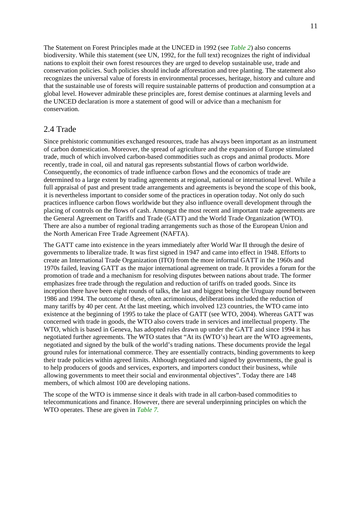The Statement on Forest Principles made at the UNCED in 1992 (see *Table 2*) also concerns biodiversity. While this statement (see UN, 1992, for the full text) recognizes the right of individual nations to exploit their own forest resources they are urged to develop sustainable use, trade and conservation policies. Such policies should include afforestation and tree planting. The statement also recognizes the universal value of forests in environmental processes, heritage, history and culture and that the sustainable use of forests will require sustainable patterns of production and consumption at a global level. However admirable these principles are, forest demise continues at alarming levels and the UNCED declaration is more a statement of good will or advice than a mechanism for conservation.

#### 2.4 Trade

Since prehistoric communities exchanged resources, trade has always been important as an instrument of carbon domestication. Moreover, the spread of agriculture and the expansion of Europe stimulated trade, much of which involved carbon-based commodities such as crops and animal products. More recently, trade in coal, oil and natural gas represents substantial flows of carbon worldwide. Consequently, the economics of trade influence carbon flows and the economics of trade are determined to a large extent by trading agreements at regional, national or international level. While a full appraisal of past and present trade arrangements and agreements is beyond the scope of this book, it is nevertheless important to consider some of the practices in operation today. Not only do such practices influence carbon flows worldwide but they also influence overall development through the placing of controls on the flows of cash. Amongst the most recent and important trade agreements are the General Agreement on Tariffs and Trade (GATT) and the World Trade Organization (WTO). There are also a number of regional trading arrangements such as those of the European Union and the North American Free Trade Agreement (NAFTA).

The GATT came into existence in the years immediately after World War II through the desire of governments to liberalize trade. It was first signed in 1947 and came into effect in 1948. Efforts to create an International Trade Organization (ITO) from the more informal GATT in the 1960s and 1970s failed, leaving GATT as the major international agreement on trade. It provides a forum for the promotion of trade and a mechanism for resolving disputes between nations about trade. The former emphasizes free trade through the regulation and reduction of tariffs on traded goods. Since its inception there have been eight rounds of talks, the last and biggest being the Uruguay round between 1986 and 1994. The outcome of these, often acrimonious, deliberations included the reduction of many tariffs by 40 per cent. At the last meeting, which involved 123 countries, the WTO came into existence at the beginning of 1995 to take the place of GATT (see WTO, 2004). Whereas GATT was concerned with trade in goods, the WTO also covers trade in services and intellectual property. The WTO, which is based in Geneva, has adopted rules drawn up under the GATT and since 1994 it has negotiated further agreements. The WTO states that "At its (WTO's) heart are the WTO agreements, negotiated and signed by the bulk of the world's trading nations. These documents provide the legal ground rules for international commerce. They are essentially contracts, binding governments to keep their trade policies within agreed limits. Although negotiated and signed by governments, the goal is to help producers of goods and services, exporters, and importers conduct their business, while allowing governments to meet their social and environmental objectives". Today there are 148 members, of which almost 100 are developing nations.

The scope of the WTO is immense since it deals with trade in all carbon-based commodities to telecommunications and finance. However, there are several underpinning principles on which the WTO operates. These are given in *Table 7.*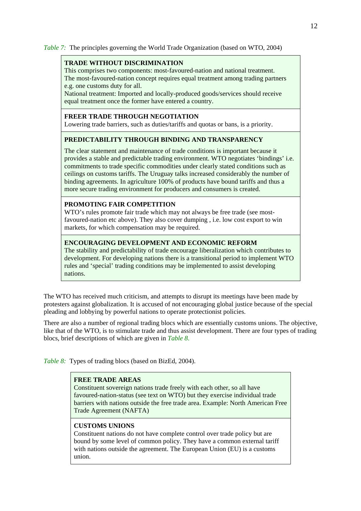*Table 7:* The principles governing the World Trade Organization (based on WTO, 2004)

#### **TRADE WITHOUT DISCRIMINATION**

This comprises two components: most-favoured-nation and national treatment. The most-favoured-nation concept requires equal treatment among trading partners e.g. one customs duty for all.

National treatment: Imported and locally-produced goods/services should receive equal treatment once the former have entered a country.

#### **FREER TRADE THROUGH NEGOTIATION**

Lowering trade barriers, such as duties/tariffs and quotas or bans, is a priority.

# **PREDICTABILITY THROUGH BINDING AND TRANSPARENCY**

The clear statement and maintenance of trade conditions is important because it provides a stable and predictable trading environment. WTO negotiates 'bindings' i.e. commitments to trade specific commodities under clearly stated conditions such as ceilings on customs tariffs. The Uruguay talks increased considerably the number of binding agreements. In agriculture 100% of products have bound tariffs and thus a more secure trading environment for producers and consumers is created.

#### **PROMOTING FAIR COMPETITION**

WTO's rules promote fair trade which may not always be free trade (see mostfavoured-nation etc above). They also cover dumping , i.e. low cost export to win markets, for which compensation may be required.

#### **ENCOURAGING DEVELOPMENT AND ECONOMIC REFORM**

The stability and predictability of trade encourage liberalization which contributes to development. For developing nations there is a transitional period to implement WTO rules and 'special' trading conditions may be implemented to assist developing nations.

The WTO has received much criticism, and attempts to disrupt its meetings have been made by protesters against globalization. It is accused of not encouraging global justice because of the special pleading and lobbying by powerful nations to operate protectionist policies.

There are also a number of regional trading blocs which are essentially customs unions. The objective, like that of the WTO, is to stimulate trade and thus assist development. There are four types of trading blocs, brief descriptions of which are given in *Table 8*.

*Table 8:* Types of trading blocs (based on BizEd, 2004).

#### **FREE TRADE AREAS**

Constituent sovereign nations trade freely with each other, so all have favoured-nation-status (see text on WTO) but they exercise individual trade barriers with nations outside the free trade area. Example: North American Free Trade Agreement (NAFTA)

#### **CUSTOMS UNIONS**

Constituent nations do not have complete control over trade policy but are bound by some level of common policy. They have a common external tariff with nations outside the agreement. The European Union (EU) is a customs union.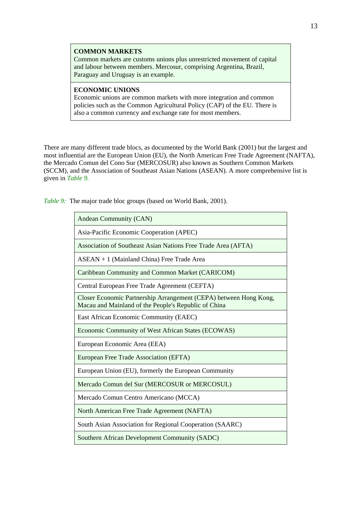#### **COMMON MARKETS**

Common markets are customs unions plus unrestricted movement of capital and labour between members. Mercosur, comprising Argentina, Brazil, Paraguay and Uruguay is an example.

#### **ECONOMIC UNIONS**

Economic unions are common markets with more integration and common policies such as the Common Agricultural Policy (CAP) of the EU. There is also a common currency and exchange rate for most members.

There are many different trade blocs, as documented by the World Bank (2001) but the largest and most influential are the European Union (EU), the North American Free Trade Agreement (NAFTA), the Mercado Comun del Cono Sur (MERCOSUR) also known as Southern Common Markets (SCCM), and the Association of Southeast Asian Nations (ASEAN). A more comprehensive list is given in *Table 9.*

*Table 9:* The major trade bloc groups (based on World Bank, 2001).

| Andean Community (CAN)                                                                                                    |  |
|---------------------------------------------------------------------------------------------------------------------------|--|
| Asia-Pacific Economic Cooperation (APEC)                                                                                  |  |
| Association of Southeast Asian Nations Free Trade Area (AFTA)                                                             |  |
| $ASEAN + 1$ (Mainland China) Free Trade Area                                                                              |  |
| Caribbean Community and Common Market (CARICOM)                                                                           |  |
| Central European Free Trade Agreement (CEFTA)                                                                             |  |
| Closer Economic Partnership Arrangement (CEPA) between Hong Kong,<br>Macau and Mainland of the People's Republic of China |  |
| East African Economic Community (EAEC)                                                                                    |  |
| Economic Community of West African States (ECOWAS)                                                                        |  |
| European Economic Area (EEA)                                                                                              |  |
| European Free Trade Association (EFTA)                                                                                    |  |
| European Union (EU), formerly the European Community                                                                      |  |
| Mercado Comun del Sur (MERCOSUR or MERCOSUL)                                                                              |  |
| Mercado Comun Centro Americano (MCCA)                                                                                     |  |
| North American Free Trade Agreement (NAFTA)                                                                               |  |
| South Asian Association for Regional Cooperation (SAARC)                                                                  |  |
| Southern African Development Community (SADC)                                                                             |  |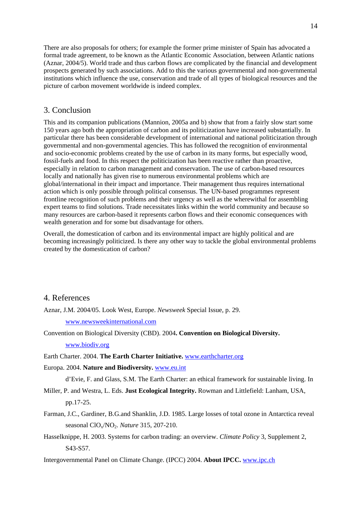There are also proposals for others; for example the former prime minister of Spain has advocated a formal trade agreement, to be known as the Atlantic Economic Association, between Atlantic nations (Aznar, 2004/5). World trade and thus carbon flows are complicated by the financial and development prospects generated by such associations. Add to this the various governmental and non-governmental institutions which influence the use, conservation and trade of all types of biological resources and the picture of carbon movement worldwide is indeed complex.

### 3. Conclusion

This and its companion publications (Mannion, 2005a and b) show that from a fairly slow start some 150 years ago both the appropriation of carbon and its politicization have increased substantially. In particular there has been considerable development of international and national politicization through governmental and non-governmental agencies. This has followed the recognition of environmental and socio-economic problems created by the use of carbon in its many forms, but especially wood, fossil-fuels and food. In this respect the politicization has been reactive rather than proactive, especially in relation to carbon management and conservation. The use of carbon-based resources locally and nationally has given rise to numerous environmental problems which are global/international in their impact and importance. Their management thus requires international action which is only possible through political consensus. The UN-based programmes represent frontline recognition of such problems and their urgency as well as the wherewithal for assembling expert teams to find solutions. Trade necessitates links within the world community and because so many resources are carbon-based it represents carbon flows and their economic consequences with wealth generation and for some but disadvantage for others.

Overall, the domestication of carbon and its environmental impact are highly political and are becoming increasingly politicized. Is there any other way to tackle the global environmental problems created by the domestication of carbon?

#### 4. References

Aznar, J.M. 2004/05. Look West, Europe. *Newsweek* Special Issue, p. 29.

[www.newsweekinternational.com](http://www.newsweekinternational.com/) 

- Convention on Biological Diversity (CBD). 2004**. Convention on Biological Diversity.**  [www.biodiv.org](http://www.biodiv.org/)
- Earth Charter. 2004. **The Earth Charter Initiative.** [www.earthcharter.org](http://www.earthcharter.org/)
- Europa. 2004. **Nature and Biodiversity.** [www.eu.int](http://www.eu.int/)

d'Evie, F. and Glass, S.M. The Earth Charter: an ethical framework for sustainable living. In

- Miller, P. and Westra, L. Eds. **Just Ecological Integrity.** Rowman and Littlefield: Lanham, USA, pp.17-25.
- Farman, J.C., Gardiner, B.G.and Shanklin, J.D. 1985. Large losses of total ozone in Antarctica reveal seasonal ClOx/NO2. *Nature* 315, 207-210.
- Hasselknippe, H. 2003. Systems for carbon trading: an overview. *Climate Policy* 3, Supplement 2, S43-S57.

Intergovernmental Panel on Climate Change. (IPCC) 2004. **About IPCC.** [www.ipc.ch](http://www.ipc.ch/)